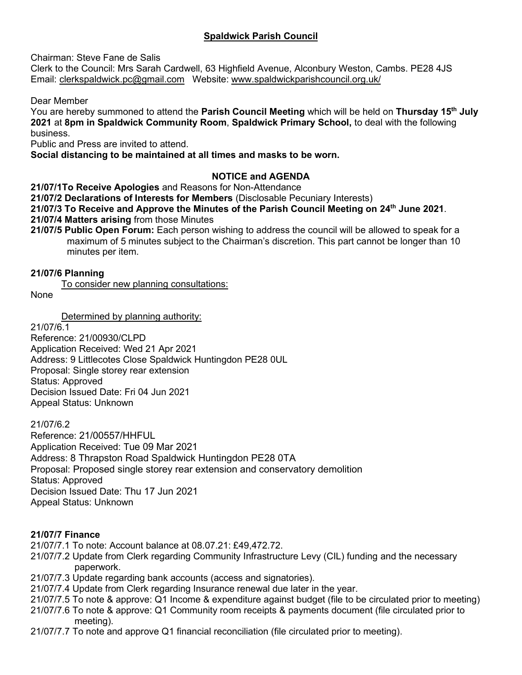## **Spaldwick Parish Council**

Chairman: Steve Fane de Salis

Clerk to the Council: Mrs Sarah Cardwell, 63 Highfield Avenue, Alconbury Weston, Cambs. PE28 4JS Email: [clerkspaldwick.pc@gmail.com](mailto:clerkspaldwick.pc@gmail.com) Website: [www.spaldwickparishcouncil.org.uk/](http://www.spaldwickparishcouncil.org.uk/)

Dear Member

You are hereby summoned to attend the **Parish Council Meeting** which will be held on **Thursday 15th July 2021** at **8pm in Spaldwick Community Room**, **Spaldwick Primary School,** to deal with the following business.

Public and Press are invited to attend.

**Social distancing to be maintained at all times and masks to be worn.**

## **NOTICE and AGENDA**

**21/07/1To Receive Apologies** and Reasons for Non-Attendance

**21/07/2 Declarations of Interests for Members** (Disclosable Pecuniary Interests)

**21/07/3 To Receive and Approve the Minutes of the Parish Council Meeting on 24th June 2021**.

**21/07/4 Matters arising** from those Minutes

**21/07/5 Public Open Forum:** Each person wishing to address the council will be allowed to speak for a maximum of 5 minutes subject to the Chairman's discretion. This part cannot be longer than 10 minutes per item.

#### **21/07/6 Planning**

To consider new planning consultations:

None

Determined by planning authority:

21/07/6.1

Reference: 21/00930/CLPD Application Received: Wed 21 Apr 2021 Address: 9 Littlecotes Close Spaldwick Huntingdon PE28 0UL Proposal: Single storey rear extension Status: Approved Decision Issued Date: Fri 04 Jun 2021 Appeal Status: Unknown

21/07/6.2

Reference: 21/00557/HHFUL Application Received: Tue 09 Mar 2021 Address: 8 Thrapston Road Spaldwick Huntingdon PE28 0TA Proposal: Proposed single storey rear extension and conservatory demolition Status: Approved Decision Issued Date: Thu 17 Jun 2021 Appeal Status: Unknown

#### **21/07/7 Finance**

- 21/07/7.1 To note: Account balance at 08.07.21: £49,472.72.
- 21/07/7.2 Update from Clerk regarding Community Infrastructure Levy (CIL) funding and the necessary paperwork.
- 21/07/7.3 Update regarding bank accounts (access and signatories).
- 21/07/7.4 Update from Clerk regarding Insurance renewal due later in the year.
- 21/07/7.5 To note & approve: Q1 Income & expenditure against budget (file to be circulated prior to meeting)
- 21/07/7.6 To note & approve: Q1 Community room receipts & payments document (file circulated prior to meeting).
- 21/07/7.7 To note and approve Q1 financial reconciliation (file circulated prior to meeting).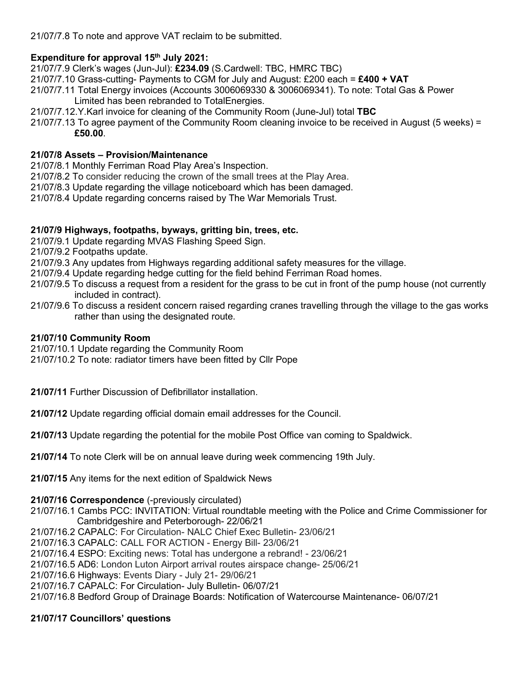21/07/7.8 To note and approve VAT reclaim to be submitted.

# **Expenditure for approval 15th July 2021:**

21/07/7.9 Clerk's wages (Jun-Jul): **£234.09** (S.Cardwell: TBC, HMRC TBC)

21/07/7.10 Grass-cutting- Payments to CGM for July and August: £200 each = **£400 + VAT**

- 21/07/7.11 Total Energy invoices (Accounts 3006069330 & 3006069341). To note: Total Gas & Power Limited has been rebranded to TotalEnergies.
- 21/07/7.12.Y.Karl invoice for cleaning of the Community Room (June-Jul) total **TBC**
- 21/07/7.13 To agree payment of the Community Room cleaning invoice to be received in August (5 weeks) = **£50.00**.

## **21/07/8 Assets – Provision/Maintenance**

- 21/07/8.1 Monthly Ferriman Road Play Area's Inspection.
- 21/07/8.2 To consider reducing the crown of the small trees at the Play Area.
- 21/07/8.3 Update regarding the village noticeboard which has been damaged.
- 21/07/8.4 Update regarding concerns raised by The War Memorials Trust.

## **21/07/9 Highways, footpaths, byways, gritting bin, trees, etc.**

- 21/07/9.1 Update regarding MVAS Flashing Speed Sign.
- 21/07/9.2 Footpaths update.
- 21/07/9.3 Any updates from Highways regarding additional safety measures for the village.
- 21/07/9.4 Update regarding hedge cutting for the field behind Ferriman Road homes.
- 21/07/9.5 To discuss a request from a resident for the grass to be cut in front of the pump house (not currently included in contract).
- 21/07/9.6 To discuss a resident concern raised regarding cranes travelling through the village to the gas works rather than using the designated route.

#### **21/07/10 Community Room**

21/07/10.1 Update regarding the Community Room

21/07/10.2 To note: radiator timers have been fitted by Cllr Pope

**21/07/11** Further Discussion of Defibrillator installation.

**21/07/12** Update regarding official domain email addresses for the Council.

**21/07/13** Update regarding the potential for the mobile Post Office van coming to Spaldwick.

**21/07/14** To note Clerk will be on annual leave during week commencing 19th July.

**21/07/15** Any items for the next edition of Spaldwick News

#### **21/07/16 Correspondence** (-previously circulated)

21/07/16.1 Cambs PCC: INVITATION: Virtual roundtable meeting with the Police and Crime Commissioner for Cambridgeshire and Peterborough- 22/06/21 21/07/16.2 CAPALC: For Circulation- NALC Chief Exec Bulletin- 23/06/21 21/07/16.3 CAPALC: CALL FOR ACTION - Energy Bill- 23/06/21 21/07/16.4 ESPO: Exciting news: Total has undergone a rebrand! - 23/06/21 21/07/16.5 AD6: London Luton Airport arrival routes airspace change- 25/06/21 21/07/16.6 Highways: Events Diary - July 21- 29/06/21

21/07/16.7 CAPALC: For Circulation- July Bulletin- 06/07/21

21/07/16.8 Bedford Group of Drainage Boards: Notification of Watercourse Maintenance- 06/07/21

## **21/07/17 Councillors' questions**